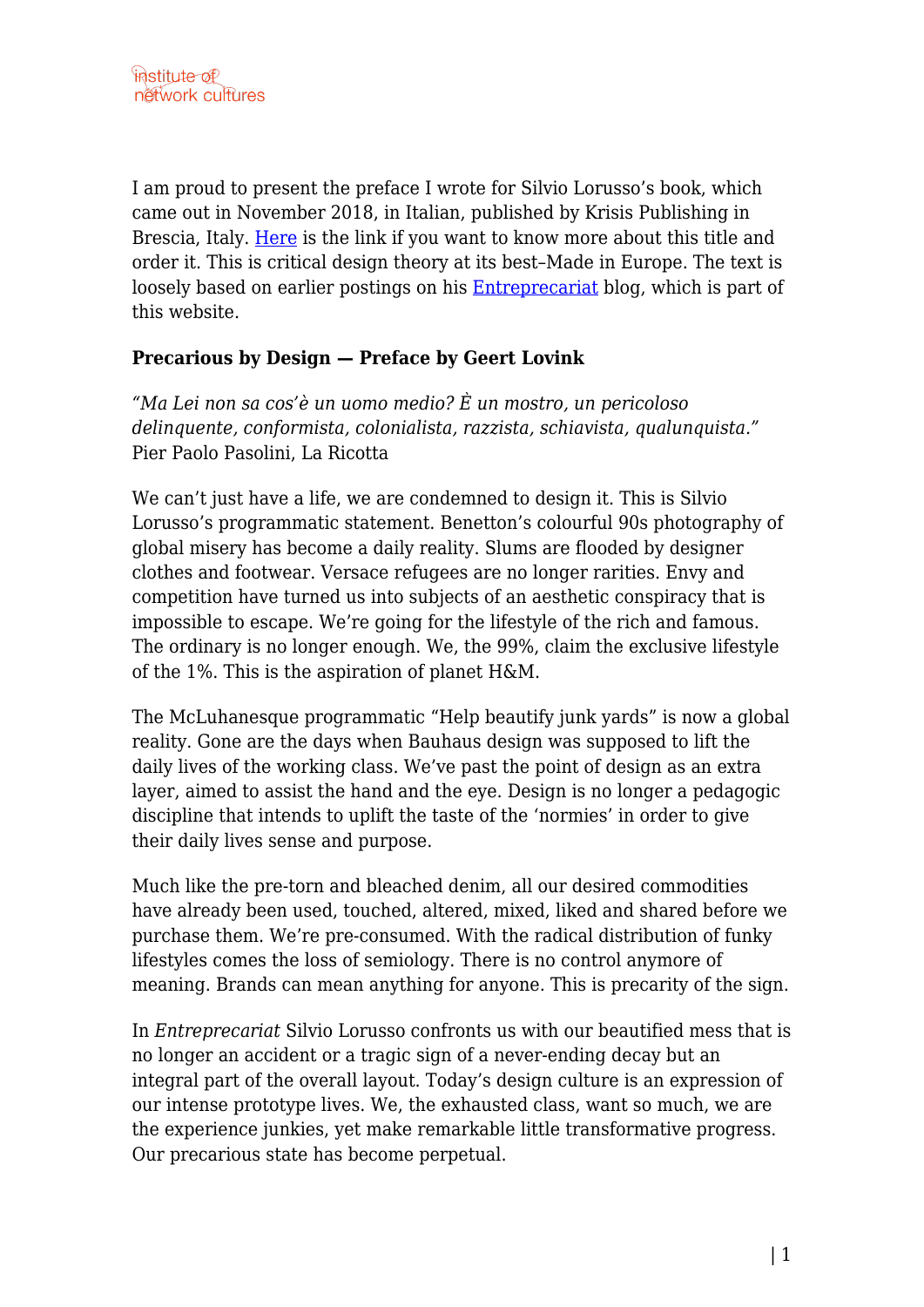I am proud to present the preface I wrote for Silvio Lorusso's book, which came out in November 2018, in Italian, published by Krisis Publishing in Brescia, Italy. [Here](http://www.krisispublishing.com/product/entreprecariat/) is the link if you want to know more about this title and order it. This is critical design theory at its best–Made in Europe. The text is loosely based on earlier postings on his [Entreprecariat](http://networkcultures.org/entreprecariat/) blog, which is part of this website.

## **Precarious by Design — Preface by Geert Lovink**

*"Ma Lei non sa cos'è un uomo medio? È un mostro, un pericoloso delinquente, conformista, colonialista, razzista, schiavista, qualunquista."* Pier Paolo Pasolini, La Ricotta

We can't just have a life, we are condemned to design it. This is Silvio Lorusso's programmatic statement. Benetton's colourful 90s photography of global misery has become a daily reality. Slums are flooded by designer clothes and footwear. Versace refugees are no longer rarities. Envy and competition have turned us into subjects of an aesthetic conspiracy that is impossible to escape. We're going for the lifestyle of the rich and famous. The ordinary is no longer enough. We, the 99%, claim the exclusive lifestyle of the 1%. This is the aspiration of planet H&M.

The McLuhanesque programmatic "Help beautify junk yards" is now a global reality. Gone are the days when Bauhaus design was supposed to lift the daily lives of the working class. We've past the point of design as an extra layer, aimed to assist the hand and the eye. Design is no longer a pedagogic discipline that intends to uplift the taste of the 'normies' in order to give their daily lives sense and purpose.

Much like the pre-torn and bleached denim, all our desired commodities have already been used, touched, altered, mixed, liked and shared before we purchase them. We're pre-consumed. With the radical distribution of funky lifestyles comes the loss of semiology. There is no control anymore of meaning. Brands can mean anything for anyone. This is precarity of the sign.

In *Entreprecariat* Silvio Lorusso confronts us with our beautified mess that is no longer an accident or a tragic sign of a never-ending decay but an integral part of the overall layout. Today's design culture is an expression of our intense prototype lives. We, the exhausted class, want so much, we are the experience junkies, yet make remarkable little transformative progress. Our precarious state has become perpetual.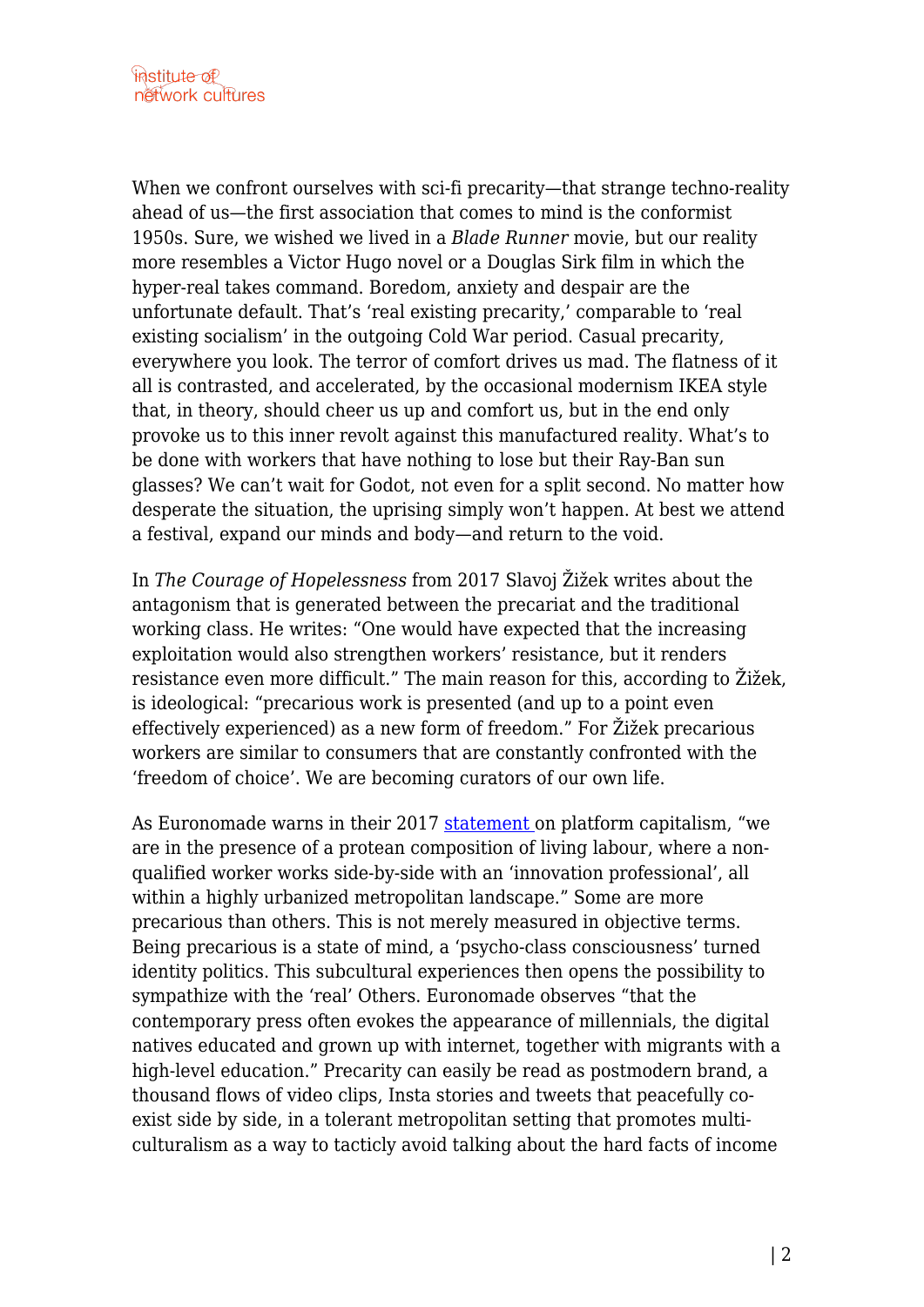When we confront ourselves with sci-fi precarity—that strange techno-reality ahead of us—the first association that comes to mind is the conformist 1950s. Sure, we wished we lived in a *Blade Runner* movie, but our reality more resembles a Victor Hugo novel or a Douglas Sirk film in which the hyper-real takes command. Boredom, anxiety and despair are the unfortunate default. That's 'real existing precarity,' comparable to 'real existing socialism' in the outgoing Cold War period. Casual precarity, everywhere you look. The terror of comfort drives us mad. The flatness of it all is contrasted, and accelerated, by the occasional modernism IKEA style that, in theory, should cheer us up and comfort us, but in the end only provoke us to this inner revolt against this manufactured reality. What's to be done with workers that have nothing to lose but their Ray-Ban sun glasses? We can't wait for Godot, not even for a split second. No matter how desperate the situation, the uprising simply won't happen. At best we attend a festival, expand our minds and body—and return to the void.

In *The Courage of Hopelessness* from 2017 Slavoj Žižek writes about the antagonism that is generated between the precariat and the traditional working class. He writes: "One would have expected that the increasing exploitation would also strengthen workers' resistance, but it renders resistance even more difficult." The main reason for this, according to Žižek, is ideological: "precarious work is presented (and up to a point even effectively experienced) as a new form of freedom." For Žižek precarious workers are similar to consumers that are constantly confronted with the 'freedom of choice'. We are becoming curators of our own life.

As Euronomade warns in their 2017 [statement o](http://www.euronomade.info/?p=8830)n platform capitalism, "we are in the presence of a protean composition of living labour, where a nonqualified worker works side-by-side with an 'innovation professional', all within a highly urbanized metropolitan landscape." Some are more precarious than others. This is not merely measured in objective terms. Being precarious is a state of mind, a 'psycho-class consciousness' turned identity politics. This subcultural experiences then opens the possibility to sympathize with the 'real' Others. Euronomade observes "that the contemporary press often evokes the appearance of millennials, the digital natives educated and grown up with internet, together with migrants with a high-level education." Precarity can easily be read as postmodern brand, a thousand flows of video clips, Insta stories and tweets that peacefully coexist side by side, in a tolerant metropolitan setting that promotes multiculturalism as a way to tacticly avoid talking about the hard facts of income